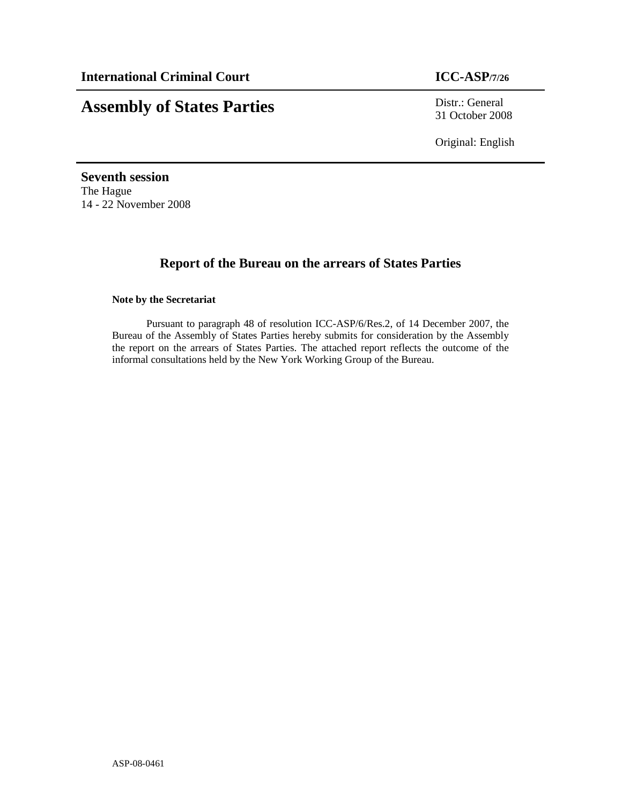# **Assembly of States Parties** Distr.: General

31 October 2008

Original: English

**Seventh session**  The Hague 14 - 22 November 2008

# **Report of the Bureau on the arrears of States Parties**

## **Note by the Secretariat**

Pursuant to paragraph 48 of resolution ICC-ASP/6/Res.2, of 14 December 2007, the Bureau of the Assembly of States Parties hereby submits for consideration by the Assembly the report on the arrears of States Parties. The attached report reflects the outcome of the informal consultations held by the New York Working Group of the Bureau.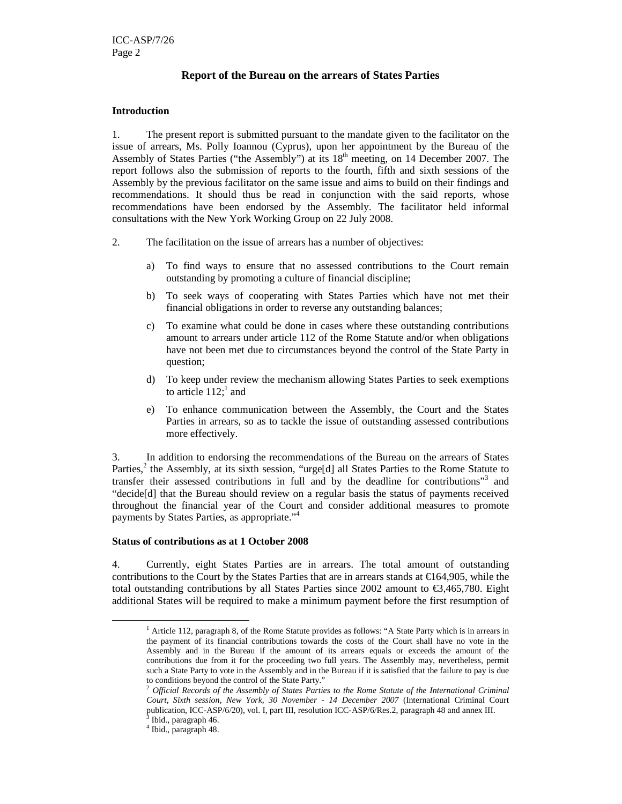## **Report of the Bureau on the arrears of States Parties**

#### **Introduction**

1. The present report is submitted pursuant to the mandate given to the facilitator on the issue of arrears, Ms. Polly Ioannou (Cyprus), upon her appointment by the Bureau of the Assembly of States Parties ("the Assembly") at its 18<sup>th</sup> meeting, on 14 December 2007. The report follows also the submission of reports to the fourth, fifth and sixth sessions of the Assembly by the previous facilitator on the same issue and aims to build on their findings and recommendations. It should thus be read in conjunction with the said reports, whose recommendations have been endorsed by the Assembly. The facilitator held informal consultations with the New York Working Group on 22 July 2008.

- 2. The facilitation on the issue of arrears has a number of objectives:
	- a) To find ways to ensure that no assessed contributions to the Court remain outstanding by promoting a culture of financial discipline;
	- b) To seek ways of cooperating with States Parties which have not met their financial obligations in order to reverse any outstanding balances;
	- c) To examine what could be done in cases where these outstanding contributions amount to arrears under article 112 of the Rome Statute and/or when obligations have not been met due to circumstances beyond the control of the State Party in question;
	- d) To keep under review the mechanism allowing States Parties to seek exemptions to article  $112$ ; and
	- e) To enhance communication between the Assembly, the Court and the States Parties in arrears, so as to tackle the issue of outstanding assessed contributions more effectively.

3. In addition to endorsing the recommendations of the Bureau on the arrears of States Parties,<sup>2</sup> the Assembly, at its sixth session, "urge[d] all States Parties to the Rome Statute to transfer their assessed contributions in full and by the deadline for contributions"<sup>3</sup> and "decide[d] that the Bureau should review on a regular basis the status of payments received throughout the financial year of the Court and consider additional measures to promote payments by States Parties, as appropriate."<sup>4</sup>

#### **Status of contributions as at 1 October 2008**

4. Currently, eight States Parties are in arrears. The total amount of outstanding contributions to the Court by the States Parties that are in arrears stands at  $\epsilon$ 164,905, while the total outstanding contributions by all States Parties since 2002 amount to €3,465,780. Eight additional States will be required to make a minimum payment before the first resumption of

 $\overline{a}$ 

<sup>&</sup>lt;sup>1</sup> Article 112, paragraph 8, of the Rome Statute provides as follows: "A State Party which is in arrears in the payment of its financial contributions towards the costs of the Court shall have no vote in the Assembly and in the Bureau if the amount of its arrears equals or exceeds the amount of the contributions due from it for the proceeding two full years. The Assembly may, nevertheless, permit such a State Party to vote in the Assembly and in the Bureau if it is satisfied that the failure to pay is due to conditions beyond the control of the State Party."

<sup>2</sup> *Official Records of the Assembly of States Parties to the Rome Statute of the International Criminal Court, Sixth session, New York, 30 November - 14 December 2007* (International Criminal Court publication, ICC-ASP/6/20), vol. I, part III, resolution ICC-ASP/6/Res.2, paragraph 48 and annex III. 3

Ibid., paragraph 46.

<sup>4</sup> Ibid., paragraph 48.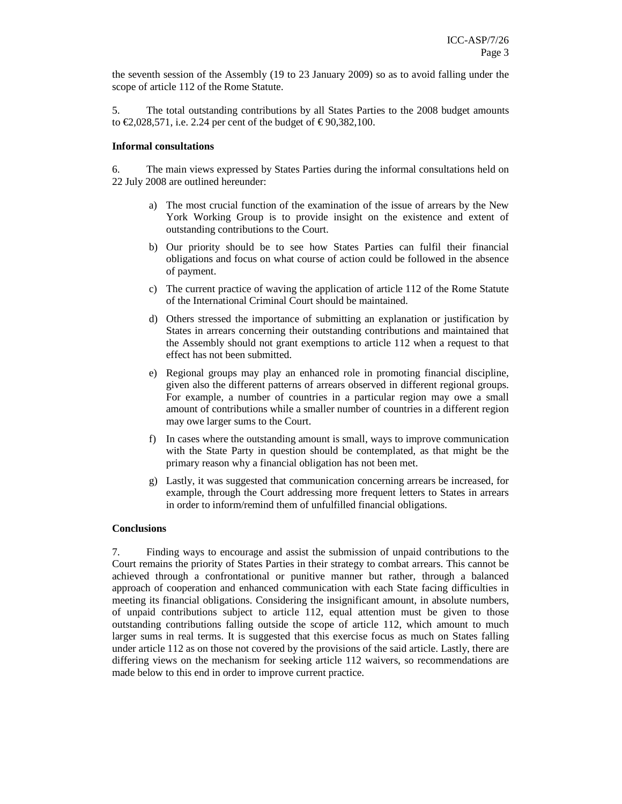the seventh session of the Assembly (19 to 23 January 2009) so as to avoid falling under the scope of article 112 of the Rome Statute.

5. The total outstanding contributions by all States Parties to the 2008 budget amounts to €2,028,571, i.e. 2.24 per cent of the budget of € 90,382,100.

#### **Informal consultations**

6. The main views expressed by States Parties during the informal consultations held on 22 July 2008 are outlined hereunder:

- a) The most crucial function of the examination of the issue of arrears by the New York Working Group is to provide insight on the existence and extent of outstanding contributions to the Court.
- b) Our priority should be to see how States Parties can fulfil their financial obligations and focus on what course of action could be followed in the absence of payment.
- c) The current practice of waving the application of article 112 of the Rome Statute of the International Criminal Court should be maintained.
- d) Others stressed the importance of submitting an explanation or justification by States in arrears concerning their outstanding contributions and maintained that the Assembly should not grant exemptions to article 112 when a request to that effect has not been submitted.
- e) Regional groups may play an enhanced role in promoting financial discipline, given also the different patterns of arrears observed in different regional groups. For example, a number of countries in a particular region may owe a small amount of contributions while a smaller number of countries in a different region may owe larger sums to the Court.
- f) In cases where the outstanding amount is small, ways to improve communication with the State Party in question should be contemplated, as that might be the primary reason why a financial obligation has not been met.
- g) Lastly, it was suggested that communication concerning arrears be increased, for example, through the Court addressing more frequent letters to States in arrears in order to inform/remind them of unfulfilled financial obligations.

#### **Conclusions**

7. Finding ways to encourage and assist the submission of unpaid contributions to the Court remains the priority of States Parties in their strategy to combat arrears. This cannot be achieved through a confrontational or punitive manner but rather, through a balanced approach of cooperation and enhanced communication with each State facing difficulties in meeting its financial obligations. Considering the insignificant amount, in absolute numbers, of unpaid contributions subject to article 112, equal attention must be given to those outstanding contributions falling outside the scope of article 112, which amount to much larger sums in real terms. It is suggested that this exercise focus as much on States falling under article 112 as on those not covered by the provisions of the said article. Lastly, there are differing views on the mechanism for seeking article 112 waivers, so recommendations are made below to this end in order to improve current practice.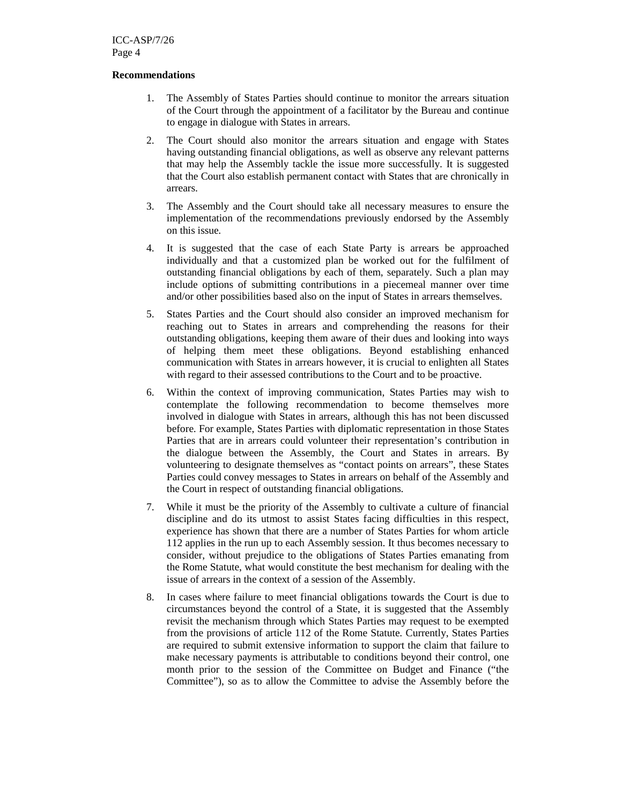#### **Recommendations**

- 1. The Assembly of States Parties should continue to monitor the arrears situation of the Court through the appointment of a facilitator by the Bureau and continue to engage in dialogue with States in arrears.
- 2. The Court should also monitor the arrears situation and engage with States having outstanding financial obligations, as well as observe any relevant patterns that may help the Assembly tackle the issue more successfully. It is suggested that the Court also establish permanent contact with States that are chronically in arrears.
- 3. The Assembly and the Court should take all necessary measures to ensure the implementation of the recommendations previously endorsed by the Assembly on this issue.
- 4. It is suggested that the case of each State Party is arrears be approached individually and that a customized plan be worked out for the fulfilment of outstanding financial obligations by each of them, separately. Such a plan may include options of submitting contributions in a piecemeal manner over time and/or other possibilities based also on the input of States in arrears themselves.
- 5. States Parties and the Court should also consider an improved mechanism for reaching out to States in arrears and comprehending the reasons for their outstanding obligations, keeping them aware of their dues and looking into ways of helping them meet these obligations. Beyond establishing enhanced communication with States in arrears however, it is crucial to enlighten all States with regard to their assessed contributions to the Court and to be proactive.
- 6. Within the context of improving communication, States Parties may wish to contemplate the following recommendation to become themselves more involved in dialogue with States in arrears, although this has not been discussed before. For example, States Parties with diplomatic representation in those States Parties that are in arrears could volunteer their representation's contribution in the dialogue between the Assembly, the Court and States in arrears. By volunteering to designate themselves as "contact points on arrears", these States Parties could convey messages to States in arrears on behalf of the Assembly and the Court in respect of outstanding financial obligations.
- 7. While it must be the priority of the Assembly to cultivate a culture of financial discipline and do its utmost to assist States facing difficulties in this respect, experience has shown that there are a number of States Parties for whom article 112 applies in the run up to each Assembly session. It thus becomes necessary to consider, without prejudice to the obligations of States Parties emanating from the Rome Statute, what would constitute the best mechanism for dealing with the issue of arrears in the context of a session of the Assembly.
- 8. In cases where failure to meet financial obligations towards the Court is due to circumstances beyond the control of a State, it is suggested that the Assembly revisit the mechanism through which States Parties may request to be exempted from the provisions of article 112 of the Rome Statute. Currently, States Parties are required to submit extensive information to support the claim that failure to make necessary payments is attributable to conditions beyond their control, one month prior to the session of the Committee on Budget and Finance ("the Committee"), so as to allow the Committee to advise the Assembly before the